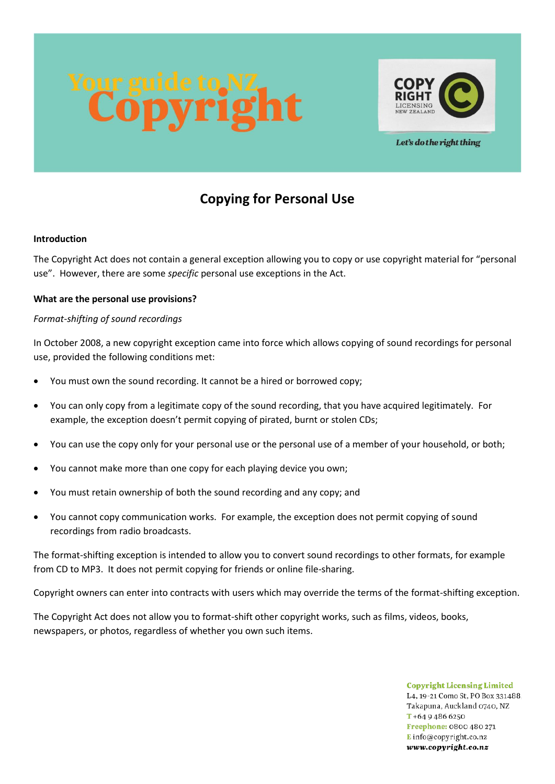

Let's do the right thing

# **Copying for Personal Use**

### **Introduction**

The Copyright Act does not contain a general exception allowing you to copy or use copyright material for "personal use". However, there are some *specific* personal use exceptions in the Act.

### **What are the personal use provisions?**

### *Format-shifting of sound recordings*

In October 2008, a new copyright exception came into force which allows copying of sound recordings for personal use, provided the following conditions met:

- You must own the sound recording. It cannot be a hired or borrowed copy;
- You can only copy from a legitimate copy of the sound recording, that you have acquired legitimately. For example, the exception doesn't permit copying of pirated, burnt or stolen CDs;
- You can use the copy only for your personal use or the personal use of a member of your household, or both;
- You cannot make more than one copy for each playing device you own;
- You must retain ownership of both the sound recording and any copy; and
- You cannot copy communication works. For example, the exception does not permit copying of sound recordings from radio broadcasts.

The format-shifting exception is intended to allow you to convert sound recordings to other formats, for example from CD to MP3. It does not permit copying for friends or online file-sharing.

Copyright owners can enter into contracts with users which may override the terms of the format-shifting exception.

The Copyright Act does not allow you to format-shift other copyright works, such as films, videos, books, newspapers, or photos, regardless of whether you own such items.

> **Copyright Licensing Limited** L4, 19-21 Como St, PO Box 331488, Takapuna, Auckland 0740, NZ  $T + 6494866250$ Freephone: 0800 480 271 Einfo@copyright.co.nz www.copyright.co.nz